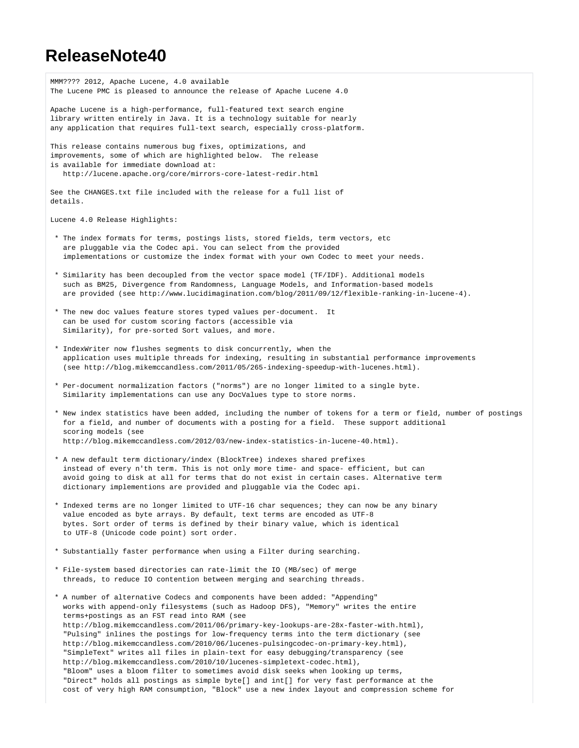## **ReleaseNote40**

| MMM???? 2012, Apache Lucene, 4.0 available<br>The Lucene PMC is pleased to announce the release of Apache Lucene 4.0                                                                                                                                                                                                                                                                                                                                                                                                                                                                                                                                                                                                                                                                                                                                                                                                                  |
|---------------------------------------------------------------------------------------------------------------------------------------------------------------------------------------------------------------------------------------------------------------------------------------------------------------------------------------------------------------------------------------------------------------------------------------------------------------------------------------------------------------------------------------------------------------------------------------------------------------------------------------------------------------------------------------------------------------------------------------------------------------------------------------------------------------------------------------------------------------------------------------------------------------------------------------|
| Apache Lucene is a high-performance, full-featured text search engine<br>library written entirely in Java. It is a technology suitable for nearly<br>any application that requires full-text search, especially cross-platform.                                                                                                                                                                                                                                                                                                                                                                                                                                                                                                                                                                                                                                                                                                       |
| This release contains numerous bug fixes, optimizations, and<br>improvements, some of which are highlighted below. The release<br>is available for immediate download at:<br>http://lucene.apache.org/core/mirrors-core-latest-redir.html                                                                                                                                                                                                                                                                                                                                                                                                                                                                                                                                                                                                                                                                                             |
|                                                                                                                                                                                                                                                                                                                                                                                                                                                                                                                                                                                                                                                                                                                                                                                                                                                                                                                                       |
| See the CHANGES.txt file included with the release for a full list of<br>details.                                                                                                                                                                                                                                                                                                                                                                                                                                                                                                                                                                                                                                                                                                                                                                                                                                                     |
| Lucene 4.0 Release Highlights:                                                                                                                                                                                                                                                                                                                                                                                                                                                                                                                                                                                                                                                                                                                                                                                                                                                                                                        |
| * The index formats for terms, postings lists, stored fields, term vectors, etc<br>are pluggable via the Codec api. You can select from the provided<br>implementations or customize the index format with your own Codec to meet your needs.                                                                                                                                                                                                                                                                                                                                                                                                                                                                                                                                                                                                                                                                                         |
| * Similarity has been decoupled from the vector space model (TF/IDF). Additional models<br>such as BM25, Divergence from Randomness, Language Models, and Information-based models<br>are provided (see http://www.lucidimagination.com/blog/2011/09/12/flexible-ranking-in-lucene-4).                                                                                                                                                                                                                                                                                                                                                                                                                                                                                                                                                                                                                                                |
| * The new doc values feature stores typed values per-document. It<br>can be used for custom scoring factors (accessible via<br>Similarity), for pre-sorted Sort values, and more.                                                                                                                                                                                                                                                                                                                                                                                                                                                                                                                                                                                                                                                                                                                                                     |
| * IndexWriter now flushes segments to disk concurrently, when the<br>application uses multiple threads for indexing, resulting in substantial performance improvements<br>(see http://blog.mikemccandless.com/2011/05/265-indexing-speedup-with-lucenes.html).                                                                                                                                                                                                                                                                                                                                                                                                                                                                                                                                                                                                                                                                        |
| * Per-document normalization factors ("norms") are no longer limited to a single byte.<br>Similarity implementations can use any DocValues type to store norms.                                                                                                                                                                                                                                                                                                                                                                                                                                                                                                                                                                                                                                                                                                                                                                       |
| * New index statistics have been added, including the number of tokens for a term or field, number of postings<br>for a field, and number of documents with a posting for a field. These support additional<br>scoring models (see<br>http://blog.mikemccandless.com/2012/03/new-index-statistics-in-lucene-40.html).                                                                                                                                                                                                                                                                                                                                                                                                                                                                                                                                                                                                                 |
| * A new default term dictionary/index (BlockTree) indexes shared prefixes<br>instead of every n'th term. This is not only more time- and space- efficient, but can<br>avoid going to disk at all for terms that do not exist in certain cases. Alternative term<br>dictionary implementions are provided and pluggable via the Codec api.                                                                                                                                                                                                                                                                                                                                                                                                                                                                                                                                                                                             |
| * Indexed terms are no longer limited to UTF-16 char sequences; they can now be any binary<br>value encoded as byte arrays. By default, text terms are encoded as UTF-8<br>bytes. Sort order of terms is defined by their binary value, which is identical<br>to UTF-8 (Unicode code point) sort order.                                                                                                                                                                                                                                                                                                                                                                                                                                                                                                                                                                                                                               |
| * Substantially faster performance when using a Filter during searching.                                                                                                                                                                                                                                                                                                                                                                                                                                                                                                                                                                                                                                                                                                                                                                                                                                                              |
| * File-system based directories can rate-limit the IO (MB/sec) of merge<br>threads, to reduce IO contention between merging and searching threads.                                                                                                                                                                                                                                                                                                                                                                                                                                                                                                                                                                                                                                                                                                                                                                                    |
| * A number of alternative Codecs and components have been added: "Appending"<br>works with append-only filesystems (such as Hadoop DFS), "Memory" writes the entire<br>terms+postings as an FST read into RAM (see<br>http://blog.mikemccandless.com/2011/06/primary-key-lookups-are-28x-faster-with.html),<br>"Pulsing" inlines the postings for low-frequency terms into the term dictionary (see<br>http://blog.mikemccandless.com/2010/06/lucenes-pulsingcodec-on-primary-key.html),<br>"SimpleText" writes all files in plain-text for easy debugging/transparency (see<br>http://blog.mikemccandless.com/2010/10/lucenes-simpletext-codec.html),<br>"Bloom" uses a bloom filter to sometimes avoid disk seeks when looking up terms,<br>"Direct" holds all postings as simple byte[] and int[] for very fast performance at the<br>cost of very high RAM consumption, "Block" use a new index layout and compression scheme for |